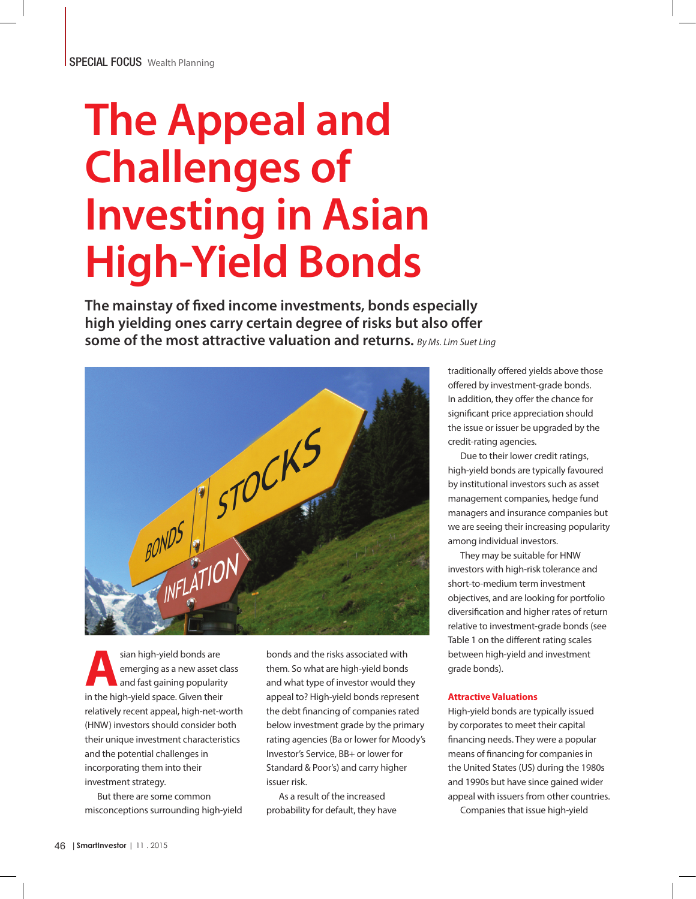# **The Appeal and Challenges of Investing in Asian High-Yield Bonds**

**The mainstay of fixed income investments, bonds especially high yielding ones carry certain degree of risks but also offer some of the most attractive valuation and returns.** *By Ms. Lim Suet Ling*



**Asian high-yield bonds are**<br> **Assumed and fast gaining popularity**<br> **Assumed and fast gaining popularity** emerging as a new asset class and fast gaining popularity in the high-yield space. Given their relatively recent appeal, high-net-worth (HNW) investors should consider both their unique investment characteristics and the potential challenges in incorporating them into their investment strategy.

But there are some common misconceptions surrounding high-yield bonds and the risks associated with them. So what are high-yield bonds and what type of investor would they appeal to? High-yield bonds represent the debt financing of companies rated below investment grade by the primary rating agencies (Ba or lower for Moody's Investor's Service, BB+ or lower for Standard & Poor's) and carry higher issuer risk.

As a result of the increased probability for default, they have traditionally offered yields above those offered by investment-grade bonds. In addition, they offer the chance for significant price appreciation should the issue or issuer be upgraded by the credit-rating agencies.

Due to their lower credit ratings, high-yield bonds are typically favoured by institutional investors such as asset management companies, hedge fund managers and insurance companies but we are seeing their increasing popularity among individual investors.

They may be suitable for HNW investors with high-risk tolerance and short-to-medium term investment objectives, and are looking for portfolio diversification and higher rates of return relative to investment-grade bonds (see Table 1 on the different rating scales between high-yield and investment grade bonds).

### **Attractive Valuations**

High-yield bonds are typically issued by corporates to meet their capital financing needs. They were a popular means of financing for companies in the United States (US) during the 1980s and 1990s but have since gained wider appeal with issuers from other countries.

Companies that issue high-yield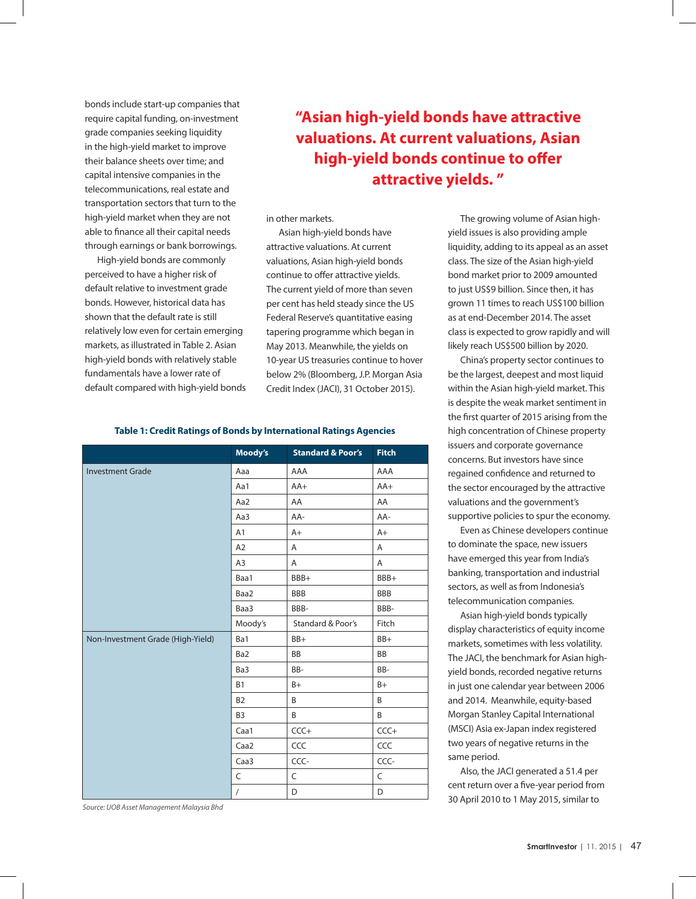bonds include start-up companies that require capital funding, on-investment grade companies seeking liquidity in the high-yield market to improve their balance sheets over time; and capital intensive companies in the telecommunications, real estate and transportation sectors that turn to the high-yield market when they are not able to finance all their capital needs through earnings or bank borrowings.

High-yield bonds are commonly perceived to have a higher risk of default relative to investment grade bonds. However, historical data has shown that the default rate is still relatively low even for certain emerging markets, as illustrated in Table 2. Asian high-yield bonds with relatively stable fundamentals have a lower rate of default compared with high-yield bonds

# **"Asian high-yield bonds have attractive valuations. At current valuations, Asian high-yield bonds continue to offer attractive yields. "**

in other markets.

Asian high-yield bonds have attractive valuations. At current valuations, Asian high-yield bonds continue to offer attractive yields. The current yield of more than seven per cent has held steady since the US Federal Reserve's quantitative easing tapering programme which began in May 2013. Meanwhile, the yields on 10-year US treasuries continue to hover below 2% (Bloomberg, J.P. Morgan Asia Credit Index (JACI), 31 October 2015).

The growing volume of Asian highyield issues is also providing ample liquidity, adding to its appeal as an asset class. The size of the Asian high-yield bond market prior to 2009 amounted to just US\$9 billion. Since then, it has grown 11 times to reach US\$100 billion as at end-December 2014. The asset class is expected to grow rapidly and will likely reach US\$500 billion by 2020.

China's property sector continues to be the largest, deepest and most liquid within the Asian high-yield market. This is despite the weak market sentiment in the first quarter of 2015 arising from the high concentration of Chinese property issuers and corporate governance concerns. But investors have since regained confidence and returned to the sector encouraged by the attractive valuations and the government's supportive policies to spur the economy.

Even as Chinese developers continue to dominate the space, new issuers have emerged this year from India's banking, transportation and industrial sectors, as well as from Indonesia's telecommunication companies.

Asian high-yield bonds typically display characteristics of equity income markets, sometimes with less volatility. The JACI, the benchmark for Asian highyield bonds, recorded negative returns in just one calendar year between 2006 and 2014. Meanwhile, equity-based Morgan Stanley Capital International (MSCI) Asia ex-Japan index registered two years of negative returns in the same period.

Also, the JACI generated a 51.4 per cent return over a five-year period from 30 April 2010 to 1 May 2015, similar to

# **Table 1: Credit Ratings of Bonds by International Ratings Agencies**

|                                   | Moody's        | <b>Standard &amp; Poor's</b> | <b>Fitch</b> |
|-----------------------------------|----------------|------------------------------|--------------|
| <b>Investment Grade</b>           | Aaa            | AAA                          | AAA          |
|                                   | Aa1            | $AA+$                        | $AA+$        |
|                                   | Aa2            | AA                           | AA           |
|                                   | Aa3            | AA-                          | AA-          |
|                                   | A1             | $A+$                         | $A+$         |
|                                   | A2             | $\overline{A}$               | A            |
|                                   | A <sub>3</sub> | Α                            | Α            |
|                                   | Baa1           | BBB+                         | BBB+         |
|                                   | Baa2           | <b>BBB</b>                   | <b>BBB</b>   |
|                                   | Baa3           | BBB-                         | BBB-         |
|                                   | Moody's        | <b>Standard &amp; Poor's</b> | Fitch        |
| Non-Investment Grade (High-Yield) | Ba1            | BB+                          | BB+          |
|                                   | Ba2            | <b>BB</b>                    | <b>BB</b>    |
|                                   | Ba3            | BB-                          | BB-          |
|                                   | <b>B1</b>      | $B+$                         | $B+$         |
|                                   | <b>B2</b>      | B                            | B            |
|                                   | B <sub>3</sub> | B                            | B            |
|                                   | Caa1           | $CCC +$                      | $CCC +$      |
|                                   | Caa2           | CCC                          | CCC          |
|                                   | Caa3           | CCC-                         | CCC-         |
|                                   | C              | C                            | C            |
|                                   | $\overline{1}$ | D                            | D            |

*Source: UOB Asset Management Malaysia Bhd*